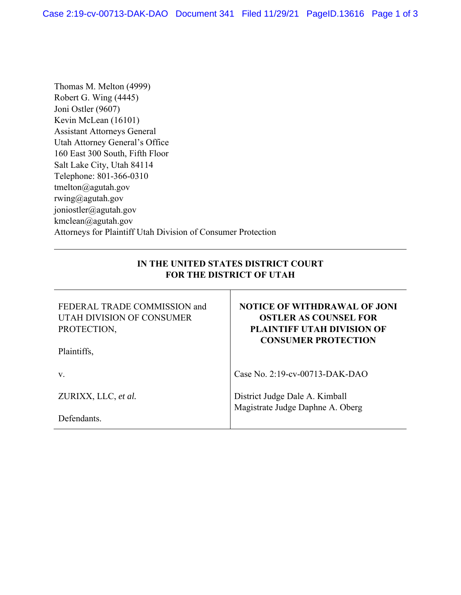Thomas M. Melton (4999) Robert G. Wing (4445) Joni Ostler (9607) Kevin McLean (16101) Assistant Attorneys General Utah Attorney General's Office 160 East 300 South, Fifth Floor Salt Lake City, Utah 84114 Telephone: 801-366-0310 tmelton@agutah.gov rwing@agutah.gov joniostler@agutah.gov kmclean@agutah.gov Attorneys for Plaintiff Utah Division of Consumer Protection

## **IN THE UNITED STATES DISTRICT COURT FOR THE DISTRICT OF UTAH**

| FEDERAL TRADE COMMISSION and<br>UTAH DIVISION OF CONSUMER<br>PROTECTION,<br>Plaintiffs, | <b>NOTICE OF WITHDRAWAL OF JONI</b><br><b>OSTLER AS COUNSEL FOR</b><br><b>PLAINTIFF UTAH DIVISION OF</b><br><b>CONSUMER PROTECTION</b> |
|-----------------------------------------------------------------------------------------|----------------------------------------------------------------------------------------------------------------------------------------|
| V.                                                                                      | Case No. 2:19-cv-00713-DAK-DAO                                                                                                         |
| ZURIXX, LLC, et al.                                                                     | District Judge Dale A. Kimball<br>Magistrate Judge Daphne A. Oberg                                                                     |
| Defendants.                                                                             |                                                                                                                                        |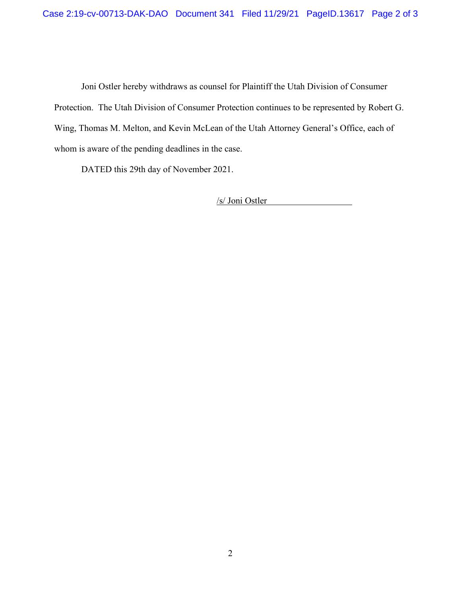Joni Ostler hereby withdraws as counsel for Plaintiff the Utah Division of Consumer Protection. The Utah Division of Consumer Protection continues to be represented by Robert G. Wing, Thomas M. Melton, and Kevin McLean of the Utah Attorney General's Office, each of whom is aware of the pending deadlines in the case.

DATED this 29th day of November 2021.

/s/ Joni Ostler